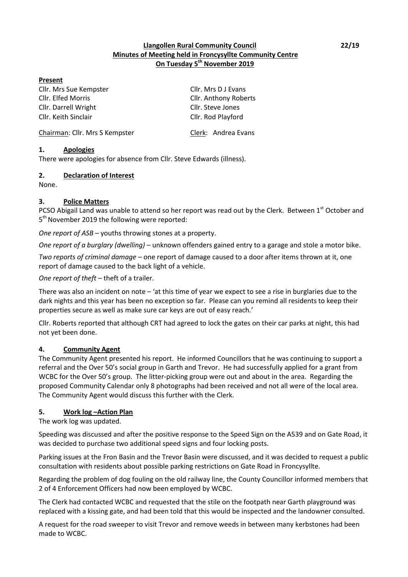#### **Llangollen Rural Community Council 22/19 Minutes of Meeting held in Froncysyllte Community Centre On Tuesday 5th November 2019**

#### **Present**

Cllr. Mrs Sue Kempster Cllr. Mrs D J Evans Cllr. Elfed Morris Cllr. Anthony Roberts Cllr. Darrell Wright Cllr. Steve Jones Cllr. Keith Sinclair Cllr. Rod Playford

Chairman: Cllr. Mrs S Kempster Clerk: Andrea Evans

#### **1. Apologies**

There were apologies for absence from Cllr. Steve Edwards (illness).

#### **2. Declaration of Interest**

None.

#### **3. Police Matters**

PCSO Abigail Land was unable to attend so her report was read out by the Clerk. Between 1st October and 5<sup>th</sup> November 2019 the following were reported:

*One report of ASB* – youths throwing stones at a property.

*One report of a burglary (dwelling) –* unknown offenders gained entry to a garage and stole a motor bike.

*Two reports of criminal damage* – one report of damage caused to a door after items thrown at it, one report of damage caused to the back light of a vehicle.

*One report of theft* – theft of a trailer.

There was also an incident on note  $-$  'at this time of year we expect to see a rise in burglaries due to the dark nights and this year has been no exception so far. Please can you remind all residents to keep their properties secure as well as make sure car keys are out of easy reach.'

Cllr. Roberts reported that although CRT had agreed to lock the gates on their car parks at night, this had not yet been done.

#### **4. Community Agent**

The Community Agent presented his report. He informed Councillors that he was continuing to support a referral and the Over 50's social group in Garth and Trevor. He had successfully applied for a grant from WCBC for the Over 50's group. The litter-picking group were out and about in the area. Regarding the proposed Community Calendar only 8 photographs had been received and not all were of the local area. The Community Agent would discuss this further with the Clerk.

#### **5. Work log –Action Plan**

The work log was updated.

Speeding was discussed and after the positive response to the Speed Sign on the A539 and on Gate Road, it was decided to purchase two additional speed signs and four locking posts.

Parking issues at the Fron Basin and the Trevor Basin were discussed, and it was decided to request a public consultation with residents about possible parking restrictions on Gate Road in Froncysyllte.

Regarding the problem of dog fouling on the old railway line, the County Councillor informed members that 2 of 4 Enforcement Officers had now been employed by WCBC.

The Clerk had contacted WCBC and requested that the stile on the footpath near Garth playground was replaced with a kissing gate, and had been told that this would be inspected and the landowner consulted.

A request for the road sweeper to visit Trevor and remove weeds in between many kerbstones had been made to WCBC.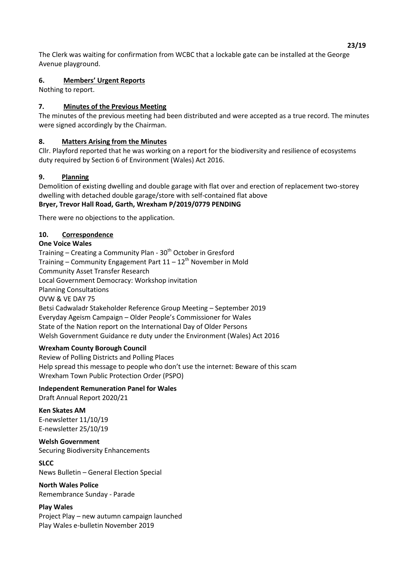The Clerk was waiting for confirmation from WCBC that a lockable gate can be installed at the George Avenue playground.

## **6. Members' Urgent Reports**

Nothing to report.

# **7. Minutes of the Previous Meeting**

The minutes of the previous meeting had been distributed and were accepted as a true record. The minutes were signed accordingly by the Chairman.

## **8. Matters Arising from the Minutes**

Cllr. Playford reported that he was working on a report for the biodiversity and resilience of ecosystems duty required by Section 6 of Environment (Wales) Act 2016.

# **9. Planning**

Demolition of existing dwelling and double garage with flat over and erection of replacement two-storey dwelling with detached double garage/store with self-contained flat above **Bryer, Trevor Hall Road, Garth, Wrexham P/2019/0779 PENDING**

There were no objections to the application.

# **10. Correspondence**

#### **One Voice Wales**

Training  $-$  Creating a Community Plan -  $30<sup>th</sup>$  October in Gresford Training – Community Engagement Part  $11 - 12<sup>th</sup>$  November in Mold Community Asset Transfer Research Local Government Democracy: Workshop invitation Planning Consultations OVW & VE DAY 75 Betsi Cadwaladr Stakeholder Reference Group Meeting - September 2019 Everyday Ageism Campaign - Older People's Commissioner for Wales State of the Nation report on the International Day of Older Persons Welsh Government Guidance re duty under the Environment (Wales) Act 2016

#### **Wrexham County Borough Council**

Review of Polling Districts and Polling Places Help spread this message to people who don't use the internet: Beware of this scam Wrexham Town Public Protection Order (PSPO)

#### **Independent Remuneration Panel for Wales**

Draft Annual Report 2020/21

**Ken Skates AM** E-newsletter 11/10/19 E-newsletter 25/10/19

**Welsh Government** Securing Biodiversity Enhancements

#### **SLCC**

News Bulletin - General Election Special

**North Wales Police** Remembrance Sunday - Parade

#### **Play Wales**

Project Play - new autumn campaign launched Play Wales e-bulletin November 2019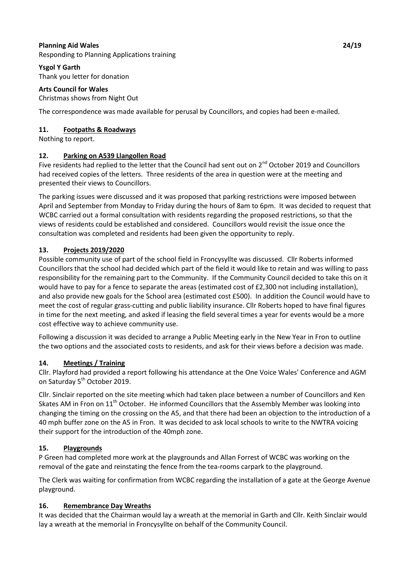#### **Planning Aid Wales 24/19**

Responding to Planning Applications training

#### **Ysgol Y Garth**

Thank you letter for donation

# **Arts Council for Wales**

Christmas shows from Night Out

The correspondence was made available for perusal by Councillors, and copies had been e-mailed.

#### **11. Footpaths & Roadways**

Nothing to report.

#### **12. Parking on A539 Llangollen Road**

Five residents had replied to the letter that the Council had sent out on 2<sup>nd</sup> October 2019 and Councillors had received copies of the letters. Three residents of the area in question were at the meeting and presented their views to Councillors.

The parking issues were discussed and it was proposed that parking restrictions were imposed between April and September from Monday to Friday during the hours of 8am to 6pm. It was decided to request that WCBC carried out a formal consultation with residents regarding the proposed restrictions, so that the views of residents could be established and considered. Councillors would revisit the issue once the consultation was completed and residents had been given the opportunity to reply.

#### **13. Projects 2019/2020**

Possible community use of part of the school field in Froncysyllte was discussed. Cllr Roberts informed Councillors that the school had decided which part of the field it would like to retain and was willing to pass responsibility for the remaining part to the Community. If the Community Council decided to take this on it would have to pay for a fence to separate the areas (estimated cost of £2,300 not including installation), and also provide new goals for the School area (estimated cost £500). In addition the Council would have to meet the cost of regular grass-cutting and public liability insurance. Cllr Roberts hoped to have final figures in time for the next meeting, and asked if leasing the field several times a year for events would be a more cost effective way to achieve community use.

Following a discussion it was decided to arrange a Public Meeting early in the New Year in Fron to outline the two options and the associated costs to residents, and ask for their views before a decision was made.

#### **14. Meetings / Training**

Cllr. Playford had provided a report following his attendance at the One Voice Wales' Conference and AGM on Saturday 5<sup>th</sup> October 2019.

Cllr. Sinclair reported on the site meeting which had taken place between a number of Councillors and Ken Skates AM in Fron on 11<sup>th</sup> October. He informed Councillors that the Assembly Member was looking into changing the timing on the crossing on the A5, and that there had been an objection to the introduction of a 40 mph buffer zone on the A5 in Fron. It was decided to ask local schools to write to the NWTRA voicing their support for the introduction of the 40mph zone.

#### **15. Playgrounds**

P Green had completed more work at the playgrounds and Allan Forrest of WCBC was working on the removal of the gate and reinstating the fence from the tea-rooms carpark to the playground.

The Clerk was waiting for confirmation from WCBC regarding the installation of a gate at the George Avenue playground.

#### **16. Remembrance Day Wreaths**

It was decided that the Chairman would lay a wreath at the memorial in Garth and Cllr. Keith Sinclair would lay a wreath at the memorial in Froncysyllte on behalf of the Community Council.